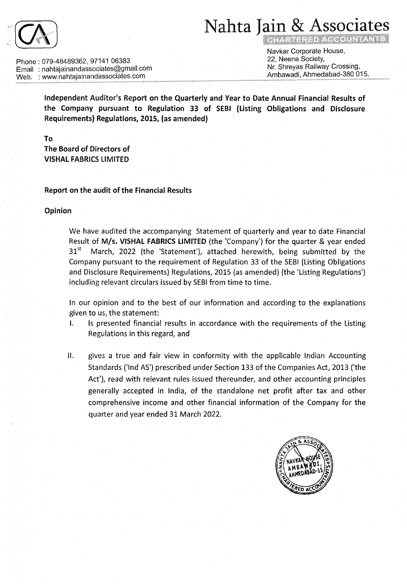

Nahta Jain & Associates

**AREAS REPORTED AT GROUND AND TS** 

Phone: 079-48489362, 97141 06383 Email : nahtajainandassociates@gmail.com Web. : www.nahtajainandassociates.com

Navkar Corporate House, 22, Neena Society, Nr. Shreyas Railway Crossing, Ambawadi, Ahmedabad-380 015.

**Independent** Auditor's **Report on the Quarterly and Year to** Date **Annual Financial Results of the Company pursuant to Regulation 33 of SEBI (Listing Obligations and Disclosure Requirements) Regulations, 2015, (as amended)** 

**To** 

**The Board of Directors of VISHAL FABRICS LIMITED** 

**Report on the audit of the Financial Results** 

**Opinion** 

We have audited the accompanying Statement of quarterly and year to date Financial Result of **M/s. VISHAL FABRICS LIMITED** (the 'Company') for the quarter & year ended  $31<sup>st</sup>$  March, 2022 (the 'Statement'), attached herewith, being submitted by the Company pursuant to the requirement of Regulation 33 of the SEBI (Listing Obligations and Disclosure Requirements) Regulations, 2015 (as amended) (the 'Listing Regulations') including relevant circulars issued by SEBI from time to time.

In our opinion and to the best of our information and according to the explanations given to us, the statement:

- I. Is presented financial results in accordance with the requirements of the Listing Regulations in this regard, and
- II. gives a true and fair view in conformity with the applicable Indian Accounting Standards ('Ind AS') prescribed under Section 133 of the Companies Act, 2013 ('the Act'), read with relevant rules issued thereunder, and other accounting principles generally accepted in India, of the standalone net profit after tax and other comprehensive income and other financial information of the Company for the quarter and year ended 31 March 2022.

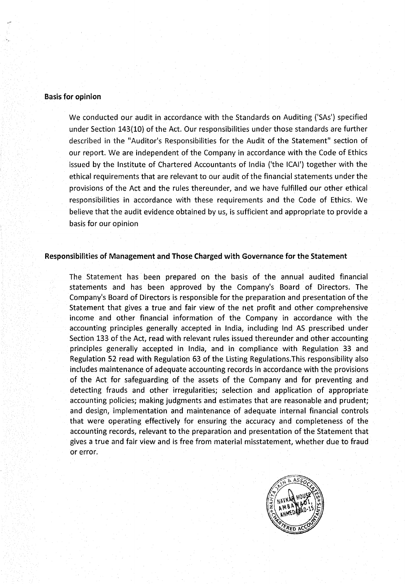# **Basis for opinion**

We conducted our audit in accordance with the Standards on Auditing ('SAs') specified under Section 143(10) of the Act. Our responsibilities under those standards are further described in the "Auditor's Responsibilities for the Audit of the Statement" section of our report. We are independent of the Company in accordance with the Code of Ethics issued by the Institute of Chartered Accountants of India ('the ICAI') together with the ethical requirements that are relevant to our audit of the financial statements under the provisions of the Act and the rules thereunder, and we have fulfilled our other ethical responsibilities in accordance with these requirements and the Code of Ethics. We believe that the audit evidence obtained by us, is sufficient and appropriate to provide a basis for our opinion

#### **Responsibilities of Management and Those Charged with Governance for the Statement**

The Statement has been prepared on the basis of the annual audited financial statements and has been approved by the Company's Board of Directors. The Company's Board of Directors is responsible for the preparation and presentation of the Statement that gives a true and fair view of the net profit and other comprehensive income and other financial information of the Company in accordance with the accounting principles generally accepted in India, including Ind AS prescribed under Section 133 of the Act, read with relevant rules issued thereunder and other accounting principles generally accepted in India, and in compliance with Regulation 33 and Regulation 52 read with Regulation 63 of the Listing Regulations.This responsibility also includes maintenance of adequate accounting records in accordance with the provisions of the Act for safeguarding of the assets of the Company and for preventing and detecting frauds and other irregularities; selection and application of appropriate accounting policies; making judgments and estimates that are reasonable and prudent; and design, implementation and maintenance of adequate internal financial controls that were operating effectively for ensuring the accuracy and completeness of the accounting records, relevant to the preparation and presentation of the Statement that gives a true and fair view and is free from material misstatement, whether due to fraud or error.

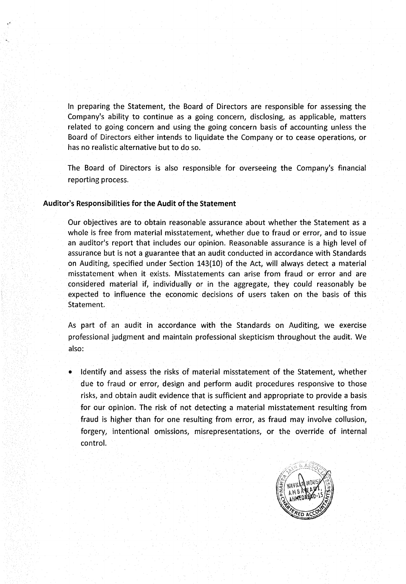In preparing the Statement, the Board of Directors are responsible for assessing the Company's ability to continue as a going concern, disclosing, as applicable, matters related to going concern and using the going concern basis of accounting unless the Board of Directors either intends to liquidate the Company or to cease operations, or has no realistic alternative but to do so.

The Board of Directors is also responsible for overseeing the Company's financial reporting process.

## **Auditor's Responsibilities for the Audit of the Statement**

Our objectives are to obtain reasonable assurance about whether the Statement as a whole is free from material misstatement, whether due to fraud or error, and to issue an auditor's report that includes our opinion. Reasonable assurance is a high level of assurance but is not a guarantee that an audit conducted in accordance with Standards on Auditing, specified under Section 143(10) of the Act, will always detect a material misstatement when it exists. Misstatements can arise from fraud or error and are considered material if, individually or in the aggregate, they could reasonably be expected to influence the economic decisions of users taken on the basis of this Statement.

As part of an audit in accordance with the Standards on Auditing, we exercise professional judgment and maintain professional skepticism throughout the audit. We also:

• Identify and assess the risks of material misstatement of the Statement, whether due to fraud or error, design and perform audit procedures responsive to those risks, and obtain audit evidence that is sufficient and appropriate to provide a basis for our opinion. The risk of not detecting a material misstatement resulting from fraud is higher than for one resulting from error, as fraud may involve collusion, forgery, intentional omissions, misrepresentations, or the override of internal control.

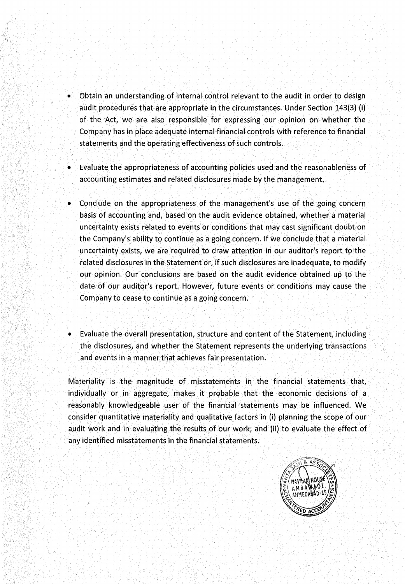- Obtain an understanding of internal control relevant to the audit in order to design audit procedures that are appropriate in the circumstances. Under Section 143(3) (i) of the Act, we are also responsible for expressing our opinion on whether the Company has in place adequate internal financial controls with reference to financial statements and the operating effectiveness of such controls.
- Evaluate the appropriateness of accounting policies used and the reasonableness of accounting estimates and related disclosures made by the management.
- Conclude on the appropriateness of the management's use of the going concern basis of accounting and, based on the audit evidence obtained, whether a material uncertainty exists related to events or conditions that may cast significant doubt on the Company's ability to continue as a going concern. If we conclude that a material uncertainty exists, we are required to draw attention in our auditor's report to the related disclosures in the Statement or, if such disclosures are inadequate, to modify our opinion. Our conclusions are based on the audit evidence obtained up to the date of our auditor's report. However, future events or conditions may cause the Company to cease to continue as a going concern.
- Evaluate the overall presentation, structure and content of the Statement, including the disclosures, and whether the Statement represents the underlying transactions and events in a manner that achieves fair presentation.

Materiality is the magnitude of misstatements in. the financial statements that, individually or in aggregate, makes it probable that the economic decisions of a reasonably knowledgeable user of the financial statements may be influenced. We consider quantitative materiality and qualitative factors in (i) planning the scope of our audit work and in evaluating the results of our work; and (ii) to evaluate the effect of any identified misstatements in the financial statements.

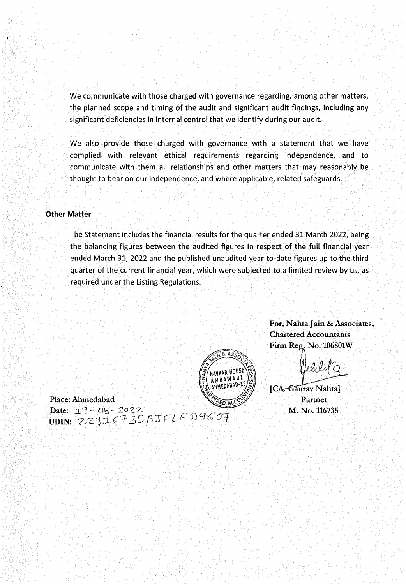We communicate with those charged with governance regarding, among other matters, the planned scope and timing of the audit and significant audit findings, including any significant deficiencies in internal control that we identify during our audit.

We also provide those charged with governance with a statement that we have complied with relevant ethical requirements regarding independence, and to communicate with them all relationships and other matters that may reasonably be thought to bear on our independence, and where applicable, related safeguards.

## **Other Matter**

The Statement includes the financial results for the quarter ended 31 March 2022, being the balancing figures between the audited figures in respect of the full financial year ended March 31, 2022 and the published unaudited year-to-date figures up to the third quarter of the current financial year, which were subjected to a limited review by us, as required under the Listing Regulations.



**For, N ahta Jain** & **Associates, Chartered Accountants Firm Reg. No. 106801W** 

 $\frac{2}{\sqrt{\frac{2}{\pi}}}}$ <br>  $[CA-Gaurav Nahta]$ 

**Partner M. No.116735** 

**Place: Ahmedabad Date:**  $49 - 05 - 2022$ UDIN: 22116735AJFLFD9607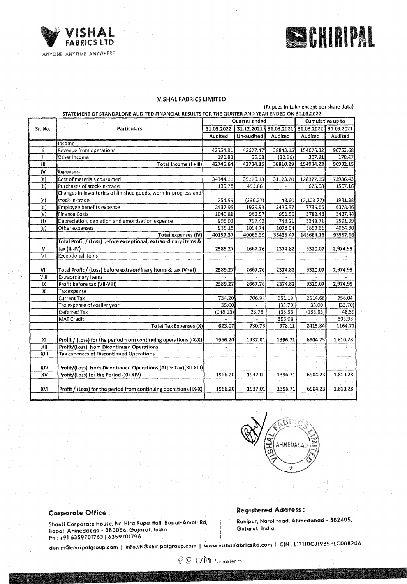



### VISHAL FABRICS LIMITED

(Rupees in Lakh except per share data) STATEMENT OF STANDALONE AUDITED FINANCIAL RESULTS FOR THE QURTER AND YEAR ENDED ON 31.03.2022

|                | Quarter ended                                                    |                |            |            | Cumulative up to      |                |
|----------------|------------------------------------------------------------------|----------------|------------|------------|-----------------------|----------------|
| Sr. No.        | <b>Particulars</b>                                               | 31.03.2022     | 31.12.2021 | 31.03.2021 | 31.03.2022 31.03.2021 |                |
|                |                                                                  | Audited        | Un-audited | Audited    | Audited               | Audited        |
|                | Income                                                           |                |            |            |                       |                |
|                | Revenue from operations                                          | 42554.81       | 42677.47   | 38843.15   | 154676.32             | 96753.68       |
| $\mathbf{R}$   | Other Income                                                     | 191.83         | 56.68      | (32.86)    | 307.91                | 178.47         |
| 川              | Total Income (I+II)                                              | 42746.64       | 42734.15   | 38810.29   | 154984.23             | 96932.15       |
| IV             | Expenses:                                                        |                |            |            |                       |                |
| (a)            | Cost of materials consumed                                       | 34344.11       | 35126.13   | 31173.70   | 128377.15             | 73936.43       |
| (b)            | Purchases of stock-in-trade                                      | 139.78         | 491.86     |            | 675.08                | 1567.16        |
|                | Changes in inventories of finished goods, work-in-progress and   |                |            |            |                       |                |
| (c)            | stock-in-trade                                                   | 254.59         | (336.27)   | 48.60      | (2, 103.77)           | 1981.38        |
| (d)            | Employee benefits expense                                        | 2437.95        | 1929.93    | 2435.37    | 7735.66               | 6378.46        |
| (e)            | <b>Finance Costs</b>                                             | 1049.88        | 962.57     | 951.55     | 3782.48               | 3437.44        |
| (f)            | Depreciation, depletion and amortisation expense                 | 995.91         | 797.42     | 748.21     | 3343.71               | 2591,99        |
| $\overline{g}$ | Other expenses                                                   | 935.15         | 1094.74    | 1078.04    | 3853.86               | 4064.30        |
|                | Total expenses (IV)                                              | 40157.37       | 40066.39   | 36435.47   | 145664.16             | 93957.16       |
|                | Total Profit / (Loss) before exceptional, extraordinary items &  |                |            |            |                       |                |
| v              | tax (III-IV)                                                     | 2589.27        | 2667.76    | 2374.82    | 9320.07               | 2,974.99       |
| VI.            | <b>Exceptional items</b>                                         |                |            |            |                       |                |
|                |                                                                  |                |            |            |                       |                |
| VII            | Total Profit / (Loss) before extraordinary items & tax (V+VI)    | 2589.27        | 2667.76    | 2374.82    | 9320.07               | 2,974.99       |
| VIII           | Extraordinary items                                              |                |            |            |                       |                |
| IX             | Profit before tax (VII-VIII)                                     | 2589.27        | 2667.76    | 2374.82    | 9320.07               | 2,974.99       |
| $\mathbf{x}$   | Tax expense                                                      |                |            |            |                       |                |
|                | Current Tax                                                      | 734.20         | 706.98     | 651.19     | 2514.66               | 756.04         |
|                | Tax expense of earlier year                                      | 35.00          |            | (33.70)    | 35.00                 | (33.70)        |
|                | Deferred Tax                                                     | (146.13)       | 23.78      | (33.36)    | (133.83)              | 48.39          |
|                | MAT Credit                                                       |                |            | 393.98     |                       | 393.98         |
|                | <b>Total Tax Expenses (X)</b>                                    | 623.07         | 730.76     | 978.11     | 2415.84               | 1164.71        |
|                |                                                                  |                |            |            |                       |                |
| XI             | Profit / (Loss) for the period from continuing operations (IX-X) | 1966.20        | 1937.01    | 1396.71    | 6904.23               | 1,810.28       |
| XII            | Profit/(Loss) from Dicontinued Operations                        |                |            |            |                       | $\mathbb{Z}^2$ |
| XIII           | <b>Tax expences of Discontinued Operations</b>                   | $\blacksquare$ | $\sim$     | ú.         | w.                    |                |
|                |                                                                  |                |            |            |                       |                |
| XIV            | Profit/(Loss) from Dicontinued Operations (After Tax)(XII-XIII)  |                |            |            |                       |                |
| XV             | Profit/(Loss) for the Period (XI+XIV)                            | 1966.20        | 1937.01    | 1396.71    | 6904.23               | 1,810.28       |
|                |                                                                  |                |            |            |                       |                |
| XVI            | Profit / (Loss) for the period from continuing operations (IX-X) | 1966.20        | 1937.01    | 1396.71    | 6904.23               | 1,810.28       |
|                |                                                                  |                |            |            |                       |                |



#### Corporate Office :

Shanti Corporate House, Nr. Hira Rupo Hall, Bopal-Ambli Rd, Bopa!, Ahmedabad - 380058, Gujarat, India. Ph: +91 6359701763 I 6359701796

## Registered Address :

Ranipur, Naro! road, Ahmedabad • 382405, Gujarat. India.

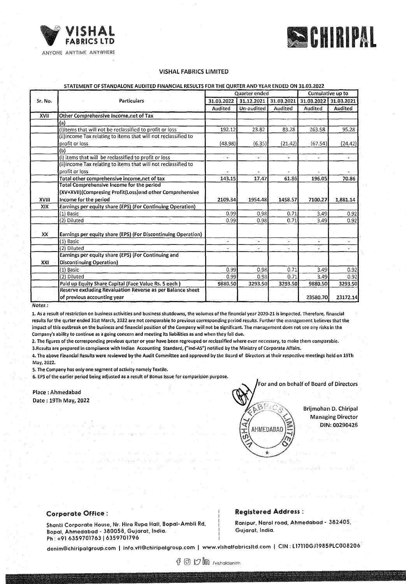

#### VISHAL FABRICS LIMITEO

#### STATEMENT OF STANDALONE AUDITED FINANCIAL RESULTS FOR THE QURTER AND YEAR ENDED ON 31.03.2022

|              |                                                                 | Quarter ended |                |              | Cumulative up to      |                |
|--------------|-----------------------------------------------------------------|---------------|----------------|--------------|-----------------------|----------------|
| Sr. No.      | <b>Particulars</b>                                              | 31.03.2022    | 31.12.2021     | 31.03.2021   | 31.03.2022 31.03.2021 |                |
|              |                                                                 | Audited       | Un-audited     | Audited      | Audited               | <b>Audited</b> |
| XVII         | Other Comprehensive Income, net of Tax                          |               |                |              |                       |                |
|              | (a)                                                             |               |                |              |                       |                |
|              | (i)items that will not be reclassified to profit or loss        | 192.12        | 23.82          | 83.28        | 263.58                | 95.28          |
|              | (ii) income Tax relating to items that will not reclassified to |               |                |              |                       |                |
|              | profit or loss                                                  | (48.98)       | (6.35)         | (21.42)      | (67.54)               | (24.42)        |
|              | (b)                                                             |               |                |              |                       |                |
|              | (i) items that will be reclassified to profit or loss           | . <b>.</b>    | $\blacksquare$ |              | ÷,                    | u.             |
|              | (ii) Income Tax relating to items that will not reclassified to |               |                |              |                       |                |
|              | profit or loss                                                  |               |                |              |                       |                |
|              | Total other comprehensive income,net of tax                     | 143.15        | 17.47          | 61.86        | 196.05                | 70.86          |
|              | <b>Total Comprehensive Income for the period</b>                |               |                |              |                       |                |
|              | (XV+XVII)(Compresing Profit(Loss)and other Comprehensive        |               |                |              |                       |                |
| <b>XVIII</b> | Income for the period                                           | 2109.34       | 1954.48        | 1458.57      | 7100.27               | 1,881.14       |
| XIX          | Earnings per equity share (EPS) (For Continuing Operation)      |               |                |              |                       |                |
|              | (1) Basic                                                       | 0.99          | 0.98           | 0.71         | 3.49                  | 0.92           |
|              | (2) Diluted                                                     | 0.99          | 0.98           | 0.71         | 3.49                  | 0.92           |
|              |                                                                 |               |                |              |                       |                |
| XX           | Earnings per equity share (EPS) (For Discontinuing Operation)   |               |                |              |                       |                |
|              | (1) Basic                                                       |               | $\sim$         | $\mathbf{a}$ |                       |                |
|              | (2) Diluted                                                     |               | w.             |              |                       |                |
|              | Earnings per equity share (EPS) (For Continuing and             |               |                |              |                       |                |
| XXI          | <b>Discontinuing Operation)</b>                                 |               |                |              |                       |                |
|              | (1) Basic                                                       | 0.99          | 0.98           | 0.71         | 3.49                  | 0.92           |
|              | (2) Diluted                                                     | 0.99          | 0.98           | 0.71         | 3.49                  | 0.92           |
|              | Paid up Equity Share Capital (Face Value Rs. 5 each)            | 9880.50       | 3293.50        | 3293.50      | 9880.50               | 3293.50        |
|              | Reserve excluding Revaluation Reverse as per Balance sheet      |               |                |              |                       |                |
|              | of previous accounting year                                     |               |                |              | 23580.70              | 23172.14       |

Notes:

1, As a result of restriction on business activities and business shutdowns, the volumes of the financial year 2020-21 is impacted. Therefore, financial results for the qurter ended 31st March, 2022 are not comparable to previous corresponding period results. Further the management believes that the impact of this outbreak on the business and financial position of the Company will not be significant. The management does not see any risks in the Company's ability to continue as a going concern and meeting its liabilities as and when they fall due.

2. The figures of the corresponding previous qurter or year have been regrouped or reclassified where ever necessary, to make them comparable. 3.Results are prepared in compliance with Indian Accounting Standard, {"Ind-AS") notified by the Ministry of Corporate Affairs.

4, The above Financial Results were reviewed by the Audit Committee and approved by the Board of Directors at their respective meetings held on 19Th May, 2022.

5, The Company has only one segment of activity namely Textile.

6. EPS of the earlier period being adjusted as a result of Bonus Issue for comparision purpose.

Place : Ahmedabad Date : 19Th May, 2022



For and on behalf of Board of Directors

Brijmohan D. Chiripal Managing Director DIN: 00290426

#### Corporate Office :

Shanti Corporate House, Nr. Hira Rupa Hall. Bopol-Ambli Rd. Bopal, Ahmadabad - 380058, Gujarat, India. Ph: +91 6359701763 i 6359701796

## Registered Address :

Ranipur, Narol rood, Ahmedabad - 382405, Gujarat, India.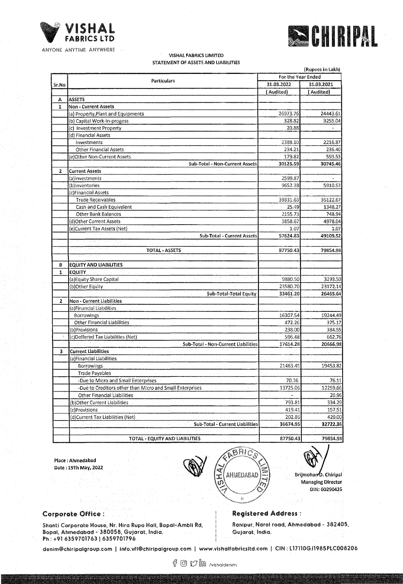



#### VISHAL FABRICS LIMITED STATEMENT Of ASSETS AND LIABILITIES

|              |                                                                                                                                                                                                                                |                    | (Rupees in Lakh)                       |  |
|--------------|--------------------------------------------------------------------------------------------------------------------------------------------------------------------------------------------------------------------------------|--------------------|----------------------------------------|--|
|              | Particulars                                                                                                                                                                                                                    | For the Year Ended |                                        |  |
| Sr.No        |                                                                                                                                                                                                                                | 31.03.2022         | 31.03.2021                             |  |
|              |                                                                                                                                                                                                                                | (Audited)          | (Audited)                              |  |
| Α            | <b>ASSETS</b>                                                                                                                                                                                                                  |                    |                                        |  |
| 1            | Non - Current Assets                                                                                                                                                                                                           |                    |                                        |  |
|              | (a) Property, Plant and Equipments                                                                                                                                                                                             | 26973.76           | 24443.61                               |  |
|              | (b) Capital Work-In-progess                                                                                                                                                                                                    | 328.82             | 3255.04                                |  |
|              | (c) Investment Property                                                                                                                                                                                                        | 20.88              |                                        |  |
|              | (d) Financial Assets                                                                                                                                                                                                           |                    |                                        |  |
|              | Investments                                                                                                                                                                                                                    | 2388.10            | 2216.87                                |  |
|              | <b>Other Financial Assets</b><br>$\alpha$                                                                                                                                                                                      | 234.21             | 236.40                                 |  |
|              | (e)Other Non-Current Assets                                                                                                                                                                                                    | 179.82             | 593.53                                 |  |
|              | Sub-Total - Non-Current Assets                                                                                                                                                                                                 | 30125.59           | 30745.46                               |  |
| $\mathbf{2}$ | <b>Current Assets</b>                                                                                                                                                                                                          |                    |                                        |  |
|              | (a)Investments                                                                                                                                                                                                                 | 2599.87            | ×                                      |  |
|              | (b)Inventories                                                                                                                                                                                                                 | 9652.38            | 5910.53                                |  |
|              | (c)Financial Assets                                                                                                                                                                                                            |                    |                                        |  |
|              | <b>Trade Receivables</b><br>$\epsilon$                                                                                                                                                                                         | 39331.63           | 36122.67                               |  |
|              | Cash and Cash Equivelent                                                                                                                                                                                                       | 25.49              | 1348.27                                |  |
|              | Other Bank Balances                                                                                                                                                                                                            | 2155.73            | 748.94                                 |  |
|              | (d)Other Current Assets                                                                                                                                                                                                        | 3858.67            | 4978.04                                |  |
|              | (e)Current Tax Assets (Net)                                                                                                                                                                                                    | 1.07               | 1.07                                   |  |
|              | <b>Sub-Total - Current Assets</b>                                                                                                                                                                                              | 57624.83           | 49109.52                               |  |
|              | والعاقبة وم                                                                                                                                                                                                                    |                    |                                        |  |
|              | <b>TOTAL - ASSETS</b><br>$\label{eq:G1} \frac{1}{2} \frac{1}{\sqrt{2}} \left( \begin{array}{cc} 1 & 0 & 0 \\ 0 & 0 & 0 \end{array} \right) \frac{1}{\sqrt{2}} \left( \begin{array}{cc} 1 & 0 \\ 0 & 0 & 0 \end{array} \right)$ | 87750.43           | 79854.98                               |  |
| в            | <b>EQUITY AND LIABILITIES</b>                                                                                                                                                                                                  |                    |                                        |  |
| 1            | <b>EQUITY</b>                                                                                                                                                                                                                  |                    |                                        |  |
|              | (a) Equity Share Capital                                                                                                                                                                                                       | 9880.50            | 3293.50                                |  |
|              | (b)Other Equity                                                                                                                                                                                                                | 23580.70           | 23172.14                               |  |
|              | Sub-Total-Total Equity                                                                                                                                                                                                         | 33461.20           | 26465.64                               |  |
| $\mathbf{2}$ | <b>Non - Current Liabilities</b>                                                                                                                                                                                               | a.                 |                                        |  |
|              | (a)Financial Liabilities<br>$\sim$ $\sim$                                                                                                                                                                                      |                    |                                        |  |
|              | Borrowings<br>$\alpha \in \{1,2\}$                                                                                                                                                                                             | 16307.54           | 19244.49                               |  |
|              | Other Financial Liabilities                                                                                                                                                                                                    | 472.26             | 375.17                                 |  |
|              | (b)Provisions                                                                                                                                                                                                                  | 238.00             | 384.55                                 |  |
| $\chi$       | (c)Deffered Tax Liabilities (Net)                                                                                                                                                                                              | 596.48             | 662.76                                 |  |
|              | Sub-Total - Non-Current Liabilities                                                                                                                                                                                            | 17614.28           | 20666.98                               |  |
| з            | <b>Current Liabilities</b>                                                                                                                                                                                                     |                    |                                        |  |
|              | (a)Financial Liabilities                                                                                                                                                                                                       |                    |                                        |  |
|              | Borrowings                                                                                                                                                                                                                     | 21463.45           | 19453.82                               |  |
|              | <b>Trade Payables</b>                                                                                                                                                                                                          |                    |                                        |  |
|              | -Due to Micro and Small Enterprises                                                                                                                                                                                            | 70.36              | 76.11                                  |  |
|              | -Due to Creditors other than Micro and Small Enterprises                                                                                                                                                                       | 13725.06           | 12259.66                               |  |
|              | <b>Other Financial Liabilities</b>                                                                                                                                                                                             | ¥.<br>s province   | 20.96                                  |  |
|              | (b)Other Current Liabilities                                                                                                                                                                                                   | 793.81             | 334.29                                 |  |
|              | (c)Provisions                                                                                                                                                                                                                  | 419.41             | 157.51                                 |  |
|              | (d)Current Tax Liabilities (Net)                                                                                                                                                                                               | 202.86             | 420.00                                 |  |
|              | الفاعيم الأعاجز والانتقاد<br>Sub-Total - Current Liabilities<br>المتوازن المحادث والأعلاء                                                                                                                                      | 36674.95           | 32722.36<br>$\mathcal{O}(\varepsilon)$ |  |
|              | TOTAL - EQUITY AND LIABILITIES                                                                                                                                                                                                 | 87750.43           | 79854.98                               |  |

Place : Ahmedabad Date : 19Th May, 2022



Brijmohan<sup>6</sup>, Chiripal Managing Director DIN: 00290426

Shanti Corporate House, Nr. Hiro Rupa Hall, Bopal-Ambli Rd, Bopal, Ahmedabad - 380058, Gujarat, India. Ph: +91 6359701763 | 6359701796

### Corporate Office :  $\qquad \qquad \qquad \qquad \qquad \qquad \qquad \qquad \qquad \qquad \text{Registered Address :}$

Ranipur, Naro! rood, Ahmadabad - 382405, Gujarat, India,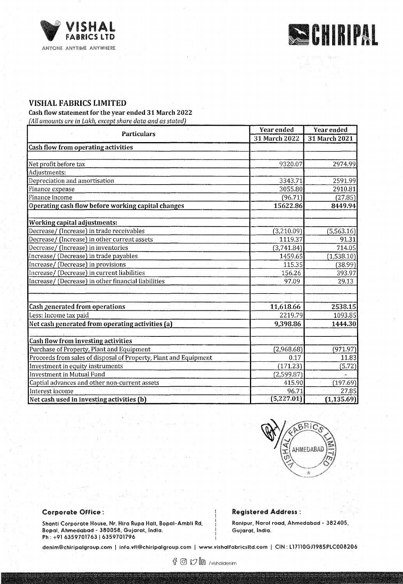



# **VISHAL FABRICS LIMITED**

**Cash flow statement for the year ended 31 March 2022** 

*(All amounts are in Lakh, exceot share data and as stated)* 

| <b>Particulars</b>                                               | Year ended           | Year ended    |  |
|------------------------------------------------------------------|----------------------|---------------|--|
|                                                                  | 31 March 2022        | 31 March 2021 |  |
| Cash flow from operating activities                              |                      |               |  |
|                                                                  |                      |               |  |
| Net profit before tax                                            | 9320.07              | 2974.99       |  |
| Adjustments:                                                     |                      |               |  |
| Depreciation and amortisation                                    | 3343.71              | 2591.99       |  |
| Finance expense                                                  | 3055.80              | 2910.81       |  |
| Finance income                                                   | (96.71)              | (27.85)       |  |
| Operating cash flow before working capital changes               | 15622.86             | 8449.94       |  |
| Working capital adjustments:                                     |                      |               |  |
| Decrease/ (Increase) in trade receivables                        | (3,210.09)           | (5,563.16)    |  |
| Decrease/ (Increase) in other current assets                     | 1119.37              | 91.31         |  |
| Decrease/ (Increase) in inventories                              | (3,741.84)           | 714.05        |  |
| Increase/ (Decrease) in trade payables                           | 1459.65              | (1,538.10)    |  |
| Increase/ (Decrease) in provisions                               | 115.35               | (38.99)       |  |
| Increase/ (Decrease) in current liabilities                      | 156.26               | 393.97        |  |
| Increase/ (Decrease) in other financial liabilities              | 97.09                | 29.13         |  |
|                                                                  |                      |               |  |
|                                                                  |                      |               |  |
| Cash generated from operations                                   | 11,618.66<br>2219.79 | 2538.15       |  |
| Less: Income tax paid                                            |                      | 1093.85       |  |
| Net cash generated from operating activities (a)                 | 9,398.86             | 1444.30       |  |
| Cash flow from investing activities                              |                      |               |  |
| Purchase of Property, Plant and Equipment                        | (2,968.68)           | (971.97)      |  |
| Proceeds from sales of disposal of Property, Plant and Equipment | 0.17                 | 11.83         |  |
| Investment in equity instruments                                 | (171.23)             | (5.72)        |  |
| <b>Investment in Mutual Fund</b>                                 | (2,599.87)           |               |  |
| Captial advances and other non-current assets                    | 415.90               | (197.69)      |  |
| Interest income                                                  | 96.71                | 27.85         |  |
| Net cash used in investing activities (b)                        | (5,227.01)           | (1, 135.69)   |  |



#### Corporate Office :

Shanti Corporate House, Nr. Hira Rupo Hall, Bopal-Ambll Rd, Bopat, Ahmedabad - 380058. Gujarat, India. Ph: +91 6359701763 I 6359701796

## Registered Address :

Rcmipur. Narol road. Ahmedabad • 382405, Gujarat, India.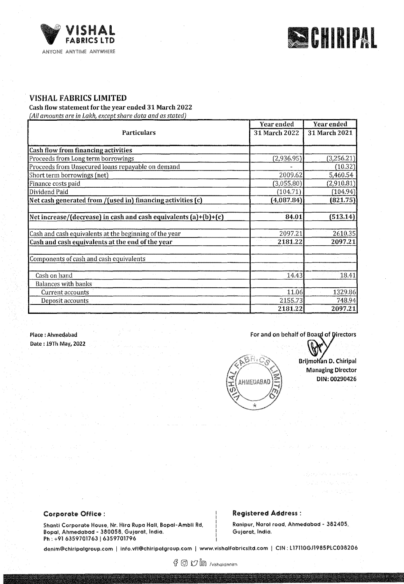



## VISHAL FABRICS LIMITED

Cash flow statement for the year ended. 31 March 2022

*(All amounts are in Lakh, exceot share data and as stated)* 

|                                                                    | Year ended    | Year ended    |
|--------------------------------------------------------------------|---------------|---------------|
| Particulars                                                        | 31 March 2022 | 31 March 2021 |
|                                                                    |               |               |
| Cash flow from financing activities                                |               |               |
| Proceeds from Long term borrowings                                 | (2,936.95)    | (3,256.21)    |
| Proceeds from Unsecured loans repayable on demand                  |               | (10.32)       |
| Short term borrowings (net)                                        | 2009.62       | 5,460.54      |
| Finance costs paid                                                 | (3,055.80)    | (2,910.81)    |
| Dividend Paid                                                      | (104.71)      | (104.94)      |
| Net cash generated from /(used in) financing activities (c)        | (4,087.84)    | (821.75)      |
|                                                                    |               |               |
| Net increase/(decrease) in cash and cash equivalents $(a)+(b)+(c)$ | 84.01         | (513.14)      |
|                                                                    |               |               |
| Cash and cash equivalents at the beginning of the year             | 2097.21       | 2610.35       |
| Cash and cash equivalents at the end of the year                   | 2181.22       | 2097.21       |
|                                                                    |               |               |
| Components of cash and cash equivalents                            |               |               |
|                                                                    |               |               |
| Cash on hand                                                       | 14.43         | 18.41         |
| <b>Balances with banks</b>                                         |               |               |
| Current accounts                                                   | 11.06         | 1329.86       |
| Deposit accounts                                                   | 2155.73       | 748.94        |
|                                                                    | 2181.22       | 2097.21       |

Place : Ahmedabad Date : l9Th May, 2022 For and on behalf of Board of Directors

Brijmohan D. Chiripal Managing Director **DIN: 00290426** 



# Corporate Office :

Shanti Corporate House, Nr. Hira Rupa Holl, Bopal-Ambli Rd, Bopal, Ahmedabad • 380058, Gujarat, India. Ph: +91 6359701763 ! 6359701796

Registered Address :

Ranipur, Naro! road, Ahmedabad - 382405, Gujarat. India.